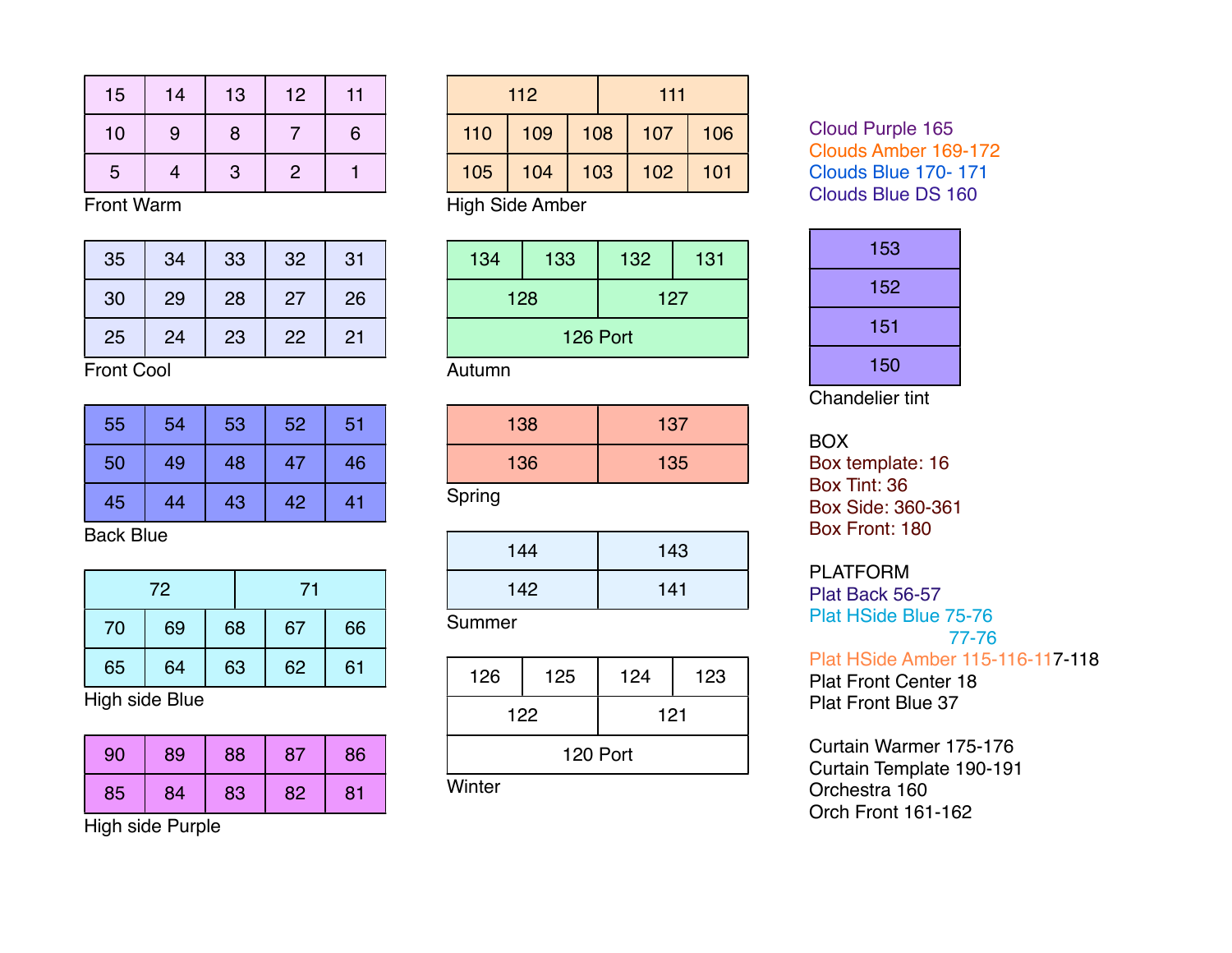| 15 | 14 | 13           | 12            | 11 |
|----|----|--------------|---------------|----|
| 10 | 9  | 8            |               | 6  |
| 5  |    | $\mathbf{3}$ | $\mathcal{P}$ |    |

Front Warm

| 35 | 34 | 33 | 32 | 31 |
|----|----|----|----|----|
| 30 | 29 | 28 | 27 | 26 |
| 25 | 24 | 23 | 22 | 21 |

Front Cool

| 55 | 54 | 53 | 52 | 51 |
|----|----|----|----|----|
| 50 | 49 | 48 | 47 | 46 |
| 45 | 44 | 43 | 42 | 41 |

Back Blue

| 72 |    |    |  | 71 |    |    |    |
|----|----|----|--|----|----|----|----|
| 70 | 69 | 68 |  |    |    | 67 | 66 |
| 65 | 64 | 63 |  | 62 | 61 |    |    |

High side Blue

| 90 | 89 | 88 | 87 | 86 |
|----|----|----|----|----|
| 85 | 84 | 83 | 82 | 81 |

High side Purple

| 112 |     |     |  | 111 |     |
|-----|-----|-----|--|-----|-----|
| 110 | 109 | 108 |  | 107 | 106 |
| 105 | 104 | 103 |  | 102 | 101 |

High Side Amber

| 134      | 133 | 132 | 131 |  |  |  |
|----------|-----|-----|-----|--|--|--|
|          | 128 | 127 |     |  |  |  |
| 126 Port |     |     |     |  |  |  |

Autumn

| 138 | 137 |
|-----|-----|
| 136 | 135 |

Spring

| 144 | 143 |
|-----|-----|
| 142 | 141 |

## Summer

| 126      | 125 | 124 | 123 |  |  |
|----------|-----|-----|-----|--|--|
| 122      |     | 121 |     |  |  |
| 120 Port |     |     |     |  |  |

**Winter** 

Cloud Purple 165 Clouds Amber 169-172 Clouds Blue 170- 171 Clouds Blue DS 160

| 153 |
|-----|
| 152 |
| 151 |
| 150 |

Chandelier tint

BOX

Box template: 16 Box Tint: 36 Box Side: 360-361 Box Front: 180

PLATFORM

Plat Back 56-57 Plat HSide Blue 75-76 77-76 Plat HSide Amber 115-116-117-118 Plat Front Center 18

Plat Front Blue 37

Curtain Warmer 175-176 Curtain Template 190-191 Orchestra 160 Orch Front 161-162